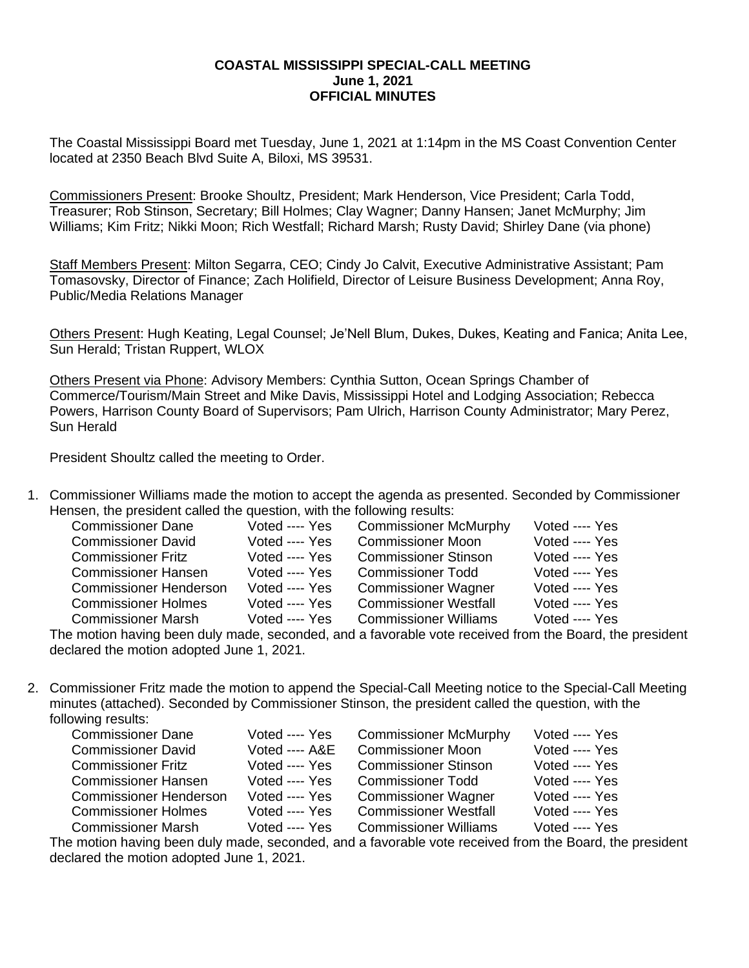## **COASTAL MISSISSIPPI SPECIAL-CALL MEETING June 1, 2021 OFFICIAL MINUTES**

The Coastal Mississippi Board met Tuesday, June 1, 2021 at 1:14pm in the MS Coast Convention Center located at 2350 Beach Blvd Suite A, Biloxi, MS 39531.

Commissioners Present: Brooke Shoultz, President; Mark Henderson, Vice President; Carla Todd, Treasurer; Rob Stinson, Secretary; Bill Holmes; Clay Wagner; Danny Hansen; Janet McMurphy; Jim Williams; Kim Fritz; Nikki Moon; Rich Westfall; Richard Marsh; Rusty David; Shirley Dane (via phone)

Staff Members Present: Milton Segarra, CEO; Cindy Jo Calvit, Executive Administrative Assistant; Pam Tomasovsky, Director of Finance; Zach Holifield, Director of Leisure Business Development; Anna Roy, Public/Media Relations Manager

Others Present: Hugh Keating, Legal Counsel; Je'Nell Blum, Dukes, Dukes, Keating and Fanica; Anita Lee, Sun Herald; Tristan Ruppert, WLOX

Others Present via Phone: Advisory Members: Cynthia Sutton, Ocean Springs Chamber of Commerce/Tourism/Main Street and Mike Davis, Mississippi Hotel and Lodging Association; Rebecca Powers, Harrison County Board of Supervisors; Pam Ulrich, Harrison County Administrator; Mary Perez, Sun Herald

President Shoultz called the meeting to Order.

1. Commissioner Williams made the motion to accept the agenda as presented. Seconded by Commissioner Hensen, the president called the question, with the following results:

| <b>Commissioner Dane</b>      | Voted ---- Yes | <b>Commissioner McMurphy</b> | Voted ---- Yes |
|-------------------------------|----------------|------------------------------|----------------|
| <b>Commissioner David</b>     | Voted ---- Yes | <b>Commissioner Moon</b>     | Voted ---- Yes |
| <b>Commissioner Fritz</b>     | Voted ---- Yes | <b>Commissioner Stinson</b>  | Voted ---- Yes |
| <b>Commissioner Hansen</b>    | Voted ---- Yes | <b>Commissioner Todd</b>     | Voted ---- Yes |
| <b>Commissioner Henderson</b> | Voted ---- Yes | <b>Commissioner Wagner</b>   | Voted ---- Yes |
| <b>Commissioner Holmes</b>    | Voted ---- Yes | <b>Commissioner Westfall</b> | Voted ---- Yes |
| <b>Commissioner Marsh</b>     | Voted ---- Yes | <b>Commissioner Williams</b> | Voted ---- Yes |
|                               |                |                              |                |

The motion having been duly made, seconded, and a favorable vote received from the Board, the president declared the motion adopted June 1, 2021.

2. Commissioner Fritz made the motion to append the Special-Call Meeting notice to the Special-Call Meeting minutes (attached). Seconded by Commissioner Stinson, the president called the question, with the following results:

| <b>Commissioner Dane</b>      | Voted ---- Yes | <b>Commissioner McMurphy</b> | Voted ---- Yes |
|-------------------------------|----------------|------------------------------|----------------|
| <b>Commissioner David</b>     | Voted ---- A&E | <b>Commissioner Moon</b>     | Voted ---- Yes |
| <b>Commissioner Fritz</b>     | Voted ---- Yes | <b>Commissioner Stinson</b>  | Voted ---- Yes |
| <b>Commissioner Hansen</b>    | Voted ---- Yes | <b>Commissioner Todd</b>     | Voted ---- Yes |
| <b>Commissioner Henderson</b> | Voted ---- Yes | <b>Commissioner Wagner</b>   | Voted ---- Yes |
| <b>Commissioner Holmes</b>    | Voted ---- Yes | <b>Commissioner Westfall</b> | Voted ---- Yes |
| <b>Commissioner Marsh</b>     | Voted ---- Yes | <b>Commissioner Williams</b> | Voted ---- Yes |

The motion having been duly made, seconded, and a favorable vote received from the Board, the president declared the motion adopted June 1, 2021.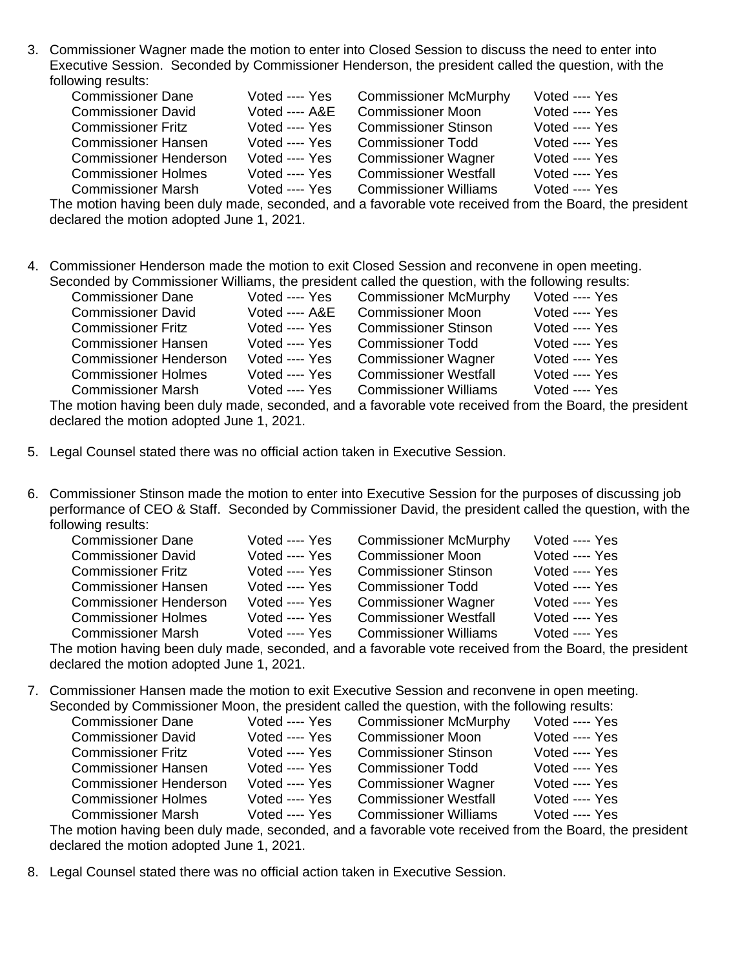3. Commissioner Wagner made the motion to enter into Closed Session to discuss the need to enter into Executive Session. Seconded by Commissioner Henderson, the president called the question, with the following results:

| <b>Commissioner Dane</b>      | Voted ---- Yes | <b>Commissioner McMurphy</b> | Voted ---- Yes |
|-------------------------------|----------------|------------------------------|----------------|
| <b>Commissioner David</b>     | Voted ---- A&E | <b>Commissioner Moon</b>     | Voted ---- Yes |
| <b>Commissioner Fritz</b>     | Voted ---- Yes | <b>Commissioner Stinson</b>  | Voted ---- Yes |
| <b>Commissioner Hansen</b>    | Voted ---- Yes | <b>Commissioner Todd</b>     | Voted ---- Yes |
| <b>Commissioner Henderson</b> | Voted ---- Yes | <b>Commissioner Wagner</b>   | Voted ---- Yes |
| <b>Commissioner Holmes</b>    | Voted ---- Yes | <b>Commissioner Westfall</b> | Voted ---- Yes |
| <b>Commissioner Marsh</b>     | Voted ---- Yes | <b>Commissioner Williams</b> | Voted ---- Yes |

The motion having been duly made, seconded, and a favorable vote received from the Board, the president declared the motion adopted June 1, 2021.

4. Commissioner Henderson made the motion to exit Closed Session and reconvene in open meeting. Seconded by Commissioner Williams, the president called the question, with the following results:

| <b>Commissioner Dane</b>                                                                                        | Voted ---- Yes | <b>Commissioner McMurphy</b>                                                                                                                                                                                                         | Voted ---- Yes |
|-----------------------------------------------------------------------------------------------------------------|----------------|--------------------------------------------------------------------------------------------------------------------------------------------------------------------------------------------------------------------------------------|----------------|
| <b>Commissioner David</b>                                                                                       | Voted ---- A&E | <b>Commissioner Moon</b>                                                                                                                                                                                                             | Voted ---- Yes |
| <b>Commissioner Fritz</b>                                                                                       | Voted ---- Yes | <b>Commissioner Stinson</b>                                                                                                                                                                                                          | Voted ---- Yes |
| <b>Commissioner Hansen</b>                                                                                      | Voted ---- Yes | <b>Commissioner Todd</b>                                                                                                                                                                                                             | Voted ---- Yes |
| <b>Commissioner Henderson</b>                                                                                   | Voted ---- Yes | <b>Commissioner Wagner</b>                                                                                                                                                                                                           | Voted ---- Yes |
| <b>Commissioner Holmes</b>                                                                                      | Voted ---- Yes | <b>Commissioner Westfall</b>                                                                                                                                                                                                         | Voted ---- Yes |
| <b>Commissioner Marsh</b>                                                                                       | Voted ---- Yes | <b>Commissioner Williams</b>                                                                                                                                                                                                         | Voted ---- Yes |
| the contract of the contract of the contract of the contract of the contract of the contract of the contract of |                | $\blacksquare$ . The contract of the contract of the contract of the contract of the contract of the contract of the contract of the contract of the contract of the contract of the contract of the contract of the contract of the |                |

The motion having been duly made, seconded, and a favorable vote received from the Board, the president declared the motion adopted June 1, 2021.

- 5. Legal Counsel stated there was no official action taken in Executive Session.
- 6. Commissioner Stinson made the motion to enter into Executive Session for the purposes of discussing job performance of CEO & Staff. Seconded by Commissioner David, the president called the question, with the following results:

| <b>Commissioner Dane</b>      | Voted ---- Yes | <b>Commissioner McMurphy</b> | Voted ---- Yes |
|-------------------------------|----------------|------------------------------|----------------|
| <b>Commissioner David</b>     | Voted ---- Yes | <b>Commissioner Moon</b>     | Voted ---- Yes |
| <b>Commissioner Fritz</b>     | Voted ---- Yes | <b>Commissioner Stinson</b>  | Voted ---- Yes |
| <b>Commissioner Hansen</b>    | Voted ---- Yes | <b>Commissioner Todd</b>     | Voted ---- Yes |
| <b>Commissioner Henderson</b> | Voted ---- Yes | <b>Commissioner Wagner</b>   | Voted ---- Yes |
| <b>Commissioner Holmes</b>    | Voted ---- Yes | <b>Commissioner Westfall</b> | Voted ---- Yes |
| <b>Commissioner Marsh</b>     | Voted ---- Yes | <b>Commissioner Williams</b> | Voted ---- Yes |

The motion having been duly made, seconded, and a favorable vote received from the Board, the president declared the motion adopted June 1, 2021.

7. Commissioner Hansen made the motion to exit Executive Session and reconvene in open meeting. Seconded by Commissioner Moon, the president called the question, with the following results:

| <b>Commissioner Dane</b>      | Voted ---- Yes | <b>Commissioner McMurphy</b> | Voted ---- Yes |
|-------------------------------|----------------|------------------------------|----------------|
| <b>Commissioner David</b>     | Voted ---- Yes | <b>Commissioner Moon</b>     | Voted ---- Yes |
| <b>Commissioner Fritz</b>     | Voted ---- Yes | <b>Commissioner Stinson</b>  | Voted ---- Yes |
| <b>Commissioner Hansen</b>    | Voted ---- Yes | <b>Commissioner Todd</b>     | Voted ---- Yes |
| <b>Commissioner Henderson</b> | Voted ---- Yes | <b>Commissioner Wagner</b>   | Voted ---- Yes |
| <b>Commissioner Holmes</b>    | Voted ---- Yes | <b>Commissioner Westfall</b> | Voted ---- Yes |
| <b>Commissioner Marsh</b>     | Voted ---- Yes | <b>Commissioner Williams</b> | Voted ---- Yes |

The motion having been duly made, seconded, and a favorable vote received from the Board, the president declared the motion adopted June 1, 2021.

8. Legal Counsel stated there was no official action taken in Executive Session.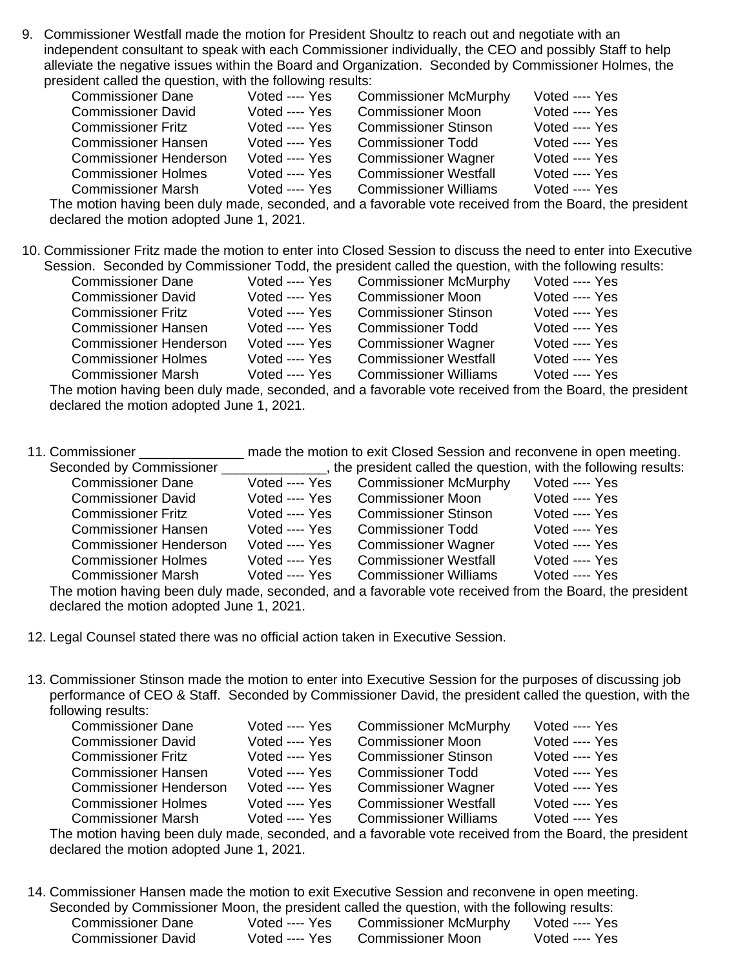9. Commissioner Westfall made the motion for President Shoultz to reach out and negotiate with an independent consultant to speak with each Commissioner individually, the CEO and possibly Staff to help alleviate the negative issues within the Board and Organization. Seconded by Commissioner Holmes, the president called the question, with the following results:

| <b>Commissioner Dane</b>      | Voted ---- Yes | <b>Commissioner McMurphy</b> | Voted ---- Yes |
|-------------------------------|----------------|------------------------------|----------------|
| <b>Commissioner David</b>     | Voted ---- Yes | <b>Commissioner Moon</b>     | Voted ---- Yes |
| <b>Commissioner Fritz</b>     | Voted ---- Yes | <b>Commissioner Stinson</b>  | Voted ---- Yes |
| <b>Commissioner Hansen</b>    | Voted ---- Yes | <b>Commissioner Todd</b>     | Voted ---- Yes |
| <b>Commissioner Henderson</b> | Voted ---- Yes | <b>Commissioner Wagner</b>   | Voted ---- Yes |
| <b>Commissioner Holmes</b>    | Voted ---- Yes | <b>Commissioner Westfall</b> | Voted ---- Yes |
| <b>Commissioner Marsh</b>     | Voted ---- Yes | <b>Commissioner Williams</b> | Voted ---- Yes |

The motion having been duly made, seconded, and a favorable vote received from the Board, the president declared the motion adopted June 1, 2021.

10. Commissioner Fritz made the motion to enter into Closed Session to discuss the need to enter into Executive Session. Seconded by Commissioner Todd, the president called the question, with the following results:

| <b>Commissioner Dane</b>      | Voted ---- Yes | <b>Commissioner McMurphy</b> | Voted ---- Yes |
|-------------------------------|----------------|------------------------------|----------------|
| <b>Commissioner David</b>     | Voted ---- Yes | <b>Commissioner Moon</b>     | Voted ---- Yes |
| <b>Commissioner Fritz</b>     | Voted ---- Yes | <b>Commissioner Stinson</b>  | Voted ---- Yes |
| <b>Commissioner Hansen</b>    | Voted ---- Yes | <b>Commissioner Todd</b>     | Voted ---- Yes |
| <b>Commissioner Henderson</b> | Voted ---- Yes | <b>Commissioner Wagner</b>   | Voted ---- Yes |
| <b>Commissioner Holmes</b>    | Voted ---- Yes | <b>Commissioner Westfall</b> | Voted ---- Yes |
| <b>Commissioner Marsh</b>     | Voted ---- Yes | <b>Commissioner Williams</b> | Voted ---- Yes |
| .                             |                |                              |                |

The motion having been duly made, seconded, and a favorable vote received from the Board, the president declared the motion adopted June 1, 2021.

| 11. Commissioner              | made the motion to exit Closed Session and reconvene in open meeting. |                                                                |                |  |
|-------------------------------|-----------------------------------------------------------------------|----------------------------------------------------------------|----------------|--|
| Seconded by Commissioner      |                                                                       | the president called the question, with the following results: |                |  |
| <b>Commissioner Dane</b>      | Voted ---- Yes                                                        | <b>Commissioner McMurphy</b>                                   | Voted ---- Yes |  |
| <b>Commissioner David</b>     | Voted ---- Yes                                                        | <b>Commissioner Moon</b>                                       | Voted ---- Yes |  |
| <b>Commissioner Fritz</b>     | Voted ---- Yes                                                        | <b>Commissioner Stinson</b>                                    | Voted ---- Yes |  |
| <b>Commissioner Hansen</b>    | Voted ---- Yes                                                        | <b>Commissioner Todd</b>                                       | Voted ---- Yes |  |
| <b>Commissioner Henderson</b> | Voted ---- Yes                                                        | <b>Commissioner Wagner</b>                                     | Voted ---- Yes |  |
| <b>Commissioner Holmes</b>    | Voted ---- Yes                                                        | <b>Commissioner Westfall</b>                                   | Voted ---- Yes |  |
| <b>Commissioner Marsh</b>     | Voted ---- Yes                                                        | <b>Commissioner Williams</b>                                   | Voted ---- Yes |  |
|                               |                                                                       |                                                                |                |  |

The motion having been duly made, seconded, and a favorable vote received from the Board, the president declared the motion adopted June 1, 2021.

12. Legal Counsel stated there was no official action taken in Executive Session.

13. Commissioner Stinson made the motion to enter into Executive Session for the purposes of discussing job performance of CEO & Staff. Seconded by Commissioner David, the president called the question, with the following results:

| <b>Commissioner Dane</b>      | Voted ---- Yes | <b>Commissioner McMurphy</b> | Voted ---- Yes |
|-------------------------------|----------------|------------------------------|----------------|
| <b>Commissioner David</b>     | Voted ---- Yes | <b>Commissioner Moon</b>     | Voted ---- Yes |
| <b>Commissioner Fritz</b>     | Voted ---- Yes | <b>Commissioner Stinson</b>  | Voted ---- Yes |
| <b>Commissioner Hansen</b>    | Voted ---- Yes | <b>Commissioner Todd</b>     | Voted ---- Yes |
| <b>Commissioner Henderson</b> | Voted ---- Yes | <b>Commissioner Wagner</b>   | Voted ---- Yes |
| <b>Commissioner Holmes</b>    | Voted ---- Yes | <b>Commissioner Westfall</b> | Voted ---- Yes |
| <b>Commissioner Marsh</b>     | Voted ---- Yes | <b>Commissioner Williams</b> | Voted ---- Yes |

The motion having been duly made, seconded, and a favorable vote received from the Board, the president declared the motion adopted June 1, 2021.

14. Commissioner Hansen made the motion to exit Executive Session and reconvene in open meeting. Seconded by Commissioner Moon, the president called the question, with the following results: Commissioner Dane Voted ---- Yes Commissioner McMurphy Voted ---- Yes Commissioner David Voted ---- Yes Commissioner Moon Voted ---- Yes